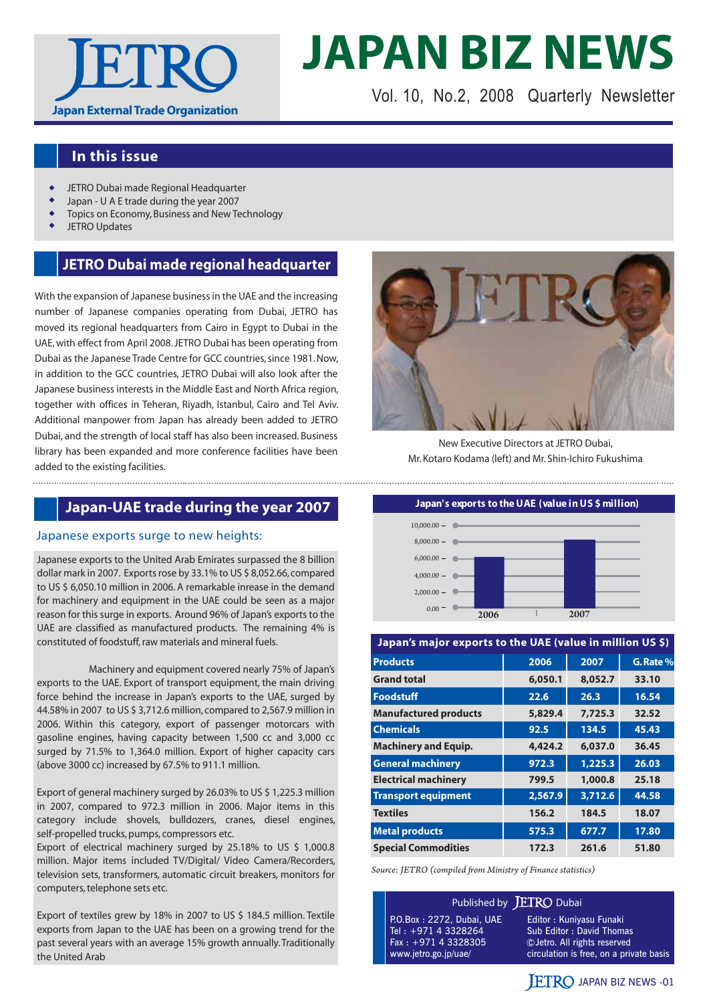

# **JAPAN BIZ NEWS**

Vol. 10, No.2, 2008 Quarterly Newsletter

### **In this issue**

- JETRO Dubai made Regional Headquarter
- Japan U A E trade during the year 2007
- Topics on Economy, Business and New Technology
- JETRO Updates

#### **JETRO Dubai made regional headquarter**

With the expansion of Japanese business in the UAE and the increasing number of Japanese companies operating from Dubai, JETRO has moved its regional headquarters from Cairo in Egypt to Dubai in the UAE, with effect from April 2008. JETRO Dubai has been operating from Dubai as the Japanese Trade Centre for GCC countries, since 1981. Now, in addition to the GCC countries, JETRO Dubai will also look after the Japanese business interests in the Middle East and North Africa region, together with offices in Teheran, Riyadh, Istanbul, Cairo and Tel Aviv. Additional manpower from Japan has already been added to JETRO Dubai, and the strength of local staff has also been increased. Business library has been expanded and more conference facilities have been added to the existing facilities.



New Executive Directors at JETRO Dubai, Mr. Kotaro Kodama (left) and Mr. Shin-Ichiro Fukushima

#### Japanese exports surge to new heights:

Japanese exports to the United Arab Emirates surpassed the 8 billion dollar mark in 2007. Exports rose by 33.1% to US \$ 8,052.66, compared to US \$ 6,050.10 million in 2006. A remarkable inrease in the demand for machinery and equipment in the UAE could be seen as a major reason for this surge in exports. Around 96% of Japan's exports to the UAE are classified as manufactured products. The remaining 4% is constituted of foodstuff, raw materials and mineral fuels.

 Machinery and equipment covered nearly 75% of Japan's exports to the UAE. Export of transport equipment, the main driving force behind the increase in Japan's exports to the UAE, surged by 44.58% in 2007 to US \$ 3,712.6 million, compared to 2,567.9 million in 2006. Within this category, export of passenger motorcars with gasoline engines, having capacity between 1,500 cc and 3,000 cc surged by 71.5% to 1,364.0 million. Export of higher capacity cars (above 3000 cc) increased by 67.5% to 911.1 million.

Export of general machinery surged by 26.03% to US \$ 1,225.3 million in 2007, compared to 972.3 million in 2006. Major items in this category include shovels, bulldozers, cranes, diesel engines, self-propelled trucks, pumps, compressors etc.

Export of electrical machinery surged by 25.18% to US \$ 1,000.8 million. Major items included TV/Digital/ Video Camera/Recorders, television sets, transformers, automatic circuit breakers, monitors for computers, telephone sets etc.

Export of textiles grew by 18% in 2007 to US \$ 184.5 million. Textile exports from Japan to the UAE has been on a growing trend for the past several years with an average 15% growth annually. Traditionally the United Arab



#### **Japan's major exports to the UAE (value in million US \$) Products 2006 2007 G. Rate % Grand total 6,050.1 8,052.7 33.10 Foodstuff 22.6 26.3 16.54 Manufactured products 5,829.4 7,725.3 32.52 Chemicals 92.5 134.5 45.43 Machinery and Equip. 4,424.2 6,037.0 36.45 General machinery 1972.3** 1,225.3 26.03 **Electrical machinery 799.5 1,000.8 25.18 Transport equipment** 2,567.9 3,712.6 44.58 **Textiles 156.2 184.5 18.07**

|  | Source: JETRO (compiled from Ministry of Finance statistics) |  |  |
|--|--------------------------------------------------------------|--|--|

Published by **JETRO** Dubai

**Metal products 1988 17.80 17.80 Special Commodities 172.3 261.6 51.80**

P.O.Box : 2272, Dubai, UAE Tel : +971 4 3328264 Fax : +971 4 3328305 www.jetro.go.jp/uae/

Editor : Kuniyasu Funaki Sub Editor : David Thomas Jetro. All rights reserved circulation is free, on a private basis

#### **JETRO JAPAN BIZ NEWS -01**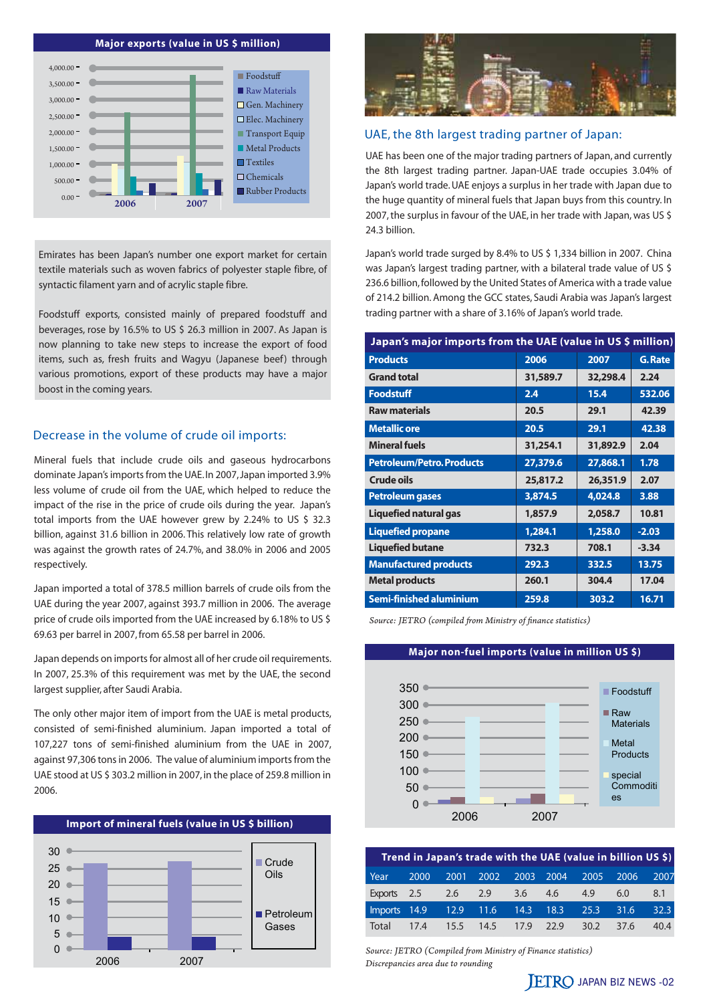#### **Major exports (value in US \$ million)**



Emirates has been Japan's number one export market for certain textile materials such as woven fabrics of polyester staple fibre, of syntactic filament yarn and of acrylic staple fibre.

Foodstuff exports, consisted mainly of prepared foodstuff and beverages, rose by 16.5% to US \$ 26.3 million in 2007. As Japan is now planning to take new steps to increase the export of food items, such as, fresh fruits and Wagyu (Japanese beef) through various promotions, export of these products may have a major boost in the coming years.

#### Decrease in the volume of crude oil imports:

Mineral fuels that include crude oils and gaseous hydrocarbons dominate Japan's imports from the UAE. In 2007, Japan imported 3.9% less volume of crude oil from the UAE, which helped to reduce the impact of the rise in the price of crude oils during the year. Japan's total imports from the UAE however grew by 2.24% to US \$ 32.3 billion, against 31.6 billion in 2006. This relatively low rate of growth was against the growth rates of 24.7%, and 38.0% in 2006 and 2005 respectively.

Japan imported a total of 378.5 million barrels of crude oils from the UAE during the year 2007, against 393.7 million in 2006. The average price of crude oils imported from the UAE increased by 6.18% to US \$ 69.63 per barrel in 2007, from 65.58 per barrel in 2006.

Japan depends on imports for almost all of her crude oil requirements. In 2007, 25.3% of this requirement was met by the UAE, the second largest supplier, after Saudi Arabia.

The only other major item of import from the UAE is metal products, consisted of semi-finished aluminium. Japan imported a total of 107,227 tons of semi-finished aluminium from the UAE in 2007, against 97,306 tons in 2006. The value of aluminium imports from the UAE stood at US \$ 303.2 million in 2007, in the place of 259.8 million in 2006.





#### UAE, the 8th largest trading partner of Japan:

UAE has been one of the major trading partners of Japan, and currently the 8th largest trading partner. Japan-UAE trade occupies 3.04% of Japan's world trade. UAE enjoys a surplus in her trade with Japan due to the huge quantity of mineral fuels that Japan buys from this country. In 2007, the surplus in favour of the UAE, in her trade with Japan, was US \$ 24.3 billion.

Japan's world trade surged by 8.4% to US \$ 1,334 billion in 2007. China was Japan's largest trading partner, with a bilateral trade value of US \$ 236.6 billion, followed by the United States of America with a trade value of 214.2 billion. Among the GCC states, Saudi Arabia was Japan's largest trading partner with a share of 3.16% of Japan's world trade.

| Japan's major imports from the UAE (value in US \$ million) |          |          |         |  |  |  |  |
|-------------------------------------------------------------|----------|----------|---------|--|--|--|--|
| <b>Products</b>                                             | 2006     | 2007     | G. Rate |  |  |  |  |
| <b>Grand total</b>                                          | 31,589.7 | 32,298.4 | 2.24    |  |  |  |  |
| <b>Foodstuff</b>                                            | 2.4      | 15.4     | 532.06  |  |  |  |  |
| <b>Raw materials</b>                                        | 20.5     | 29.1     | 42.39   |  |  |  |  |
| <b>Metallic ore</b>                                         | 20.5     | 29.1     | 42.38   |  |  |  |  |
| <b>Mineral fuels</b>                                        | 31,254.1 | 31,892.9 | 2.04    |  |  |  |  |
| <b>Petroleum/Petro. Products</b>                            | 27,379.6 | 27,868.1 | 1.78    |  |  |  |  |
| Crude oils                                                  | 25,817.2 | 26,351.9 | 2.07    |  |  |  |  |
| <b>Petroleum gases</b>                                      | 3,874.5  | 4,024.8  | 3.88    |  |  |  |  |
| Liquefied natural gas                                       | 1,857.9  | 2,058.7  | 10.81   |  |  |  |  |
| <b>Liquefied propane</b>                                    | 1,284.1  | 1,258.0  | $-2.03$ |  |  |  |  |
| <b>Liquefied butane</b>                                     | 732.3    | 708.1    | $-3.34$ |  |  |  |  |
| <b>Manufactured products</b>                                | 292.3    | 332.5    | 13.75   |  |  |  |  |
| <b>Metal products</b>                                       | 260.1    | 304.4    | 17.04   |  |  |  |  |
| Semi-finished aluminium                                     | 259.8    | 303.2    | 16.71   |  |  |  |  |

*Source: JETRO (compiled from Ministry of finance statistics)*

#### **Major non-fuel imports (value in million US \$)**



|             |      |             |      |      |      |      | Trend in Japan's trade with the UAE (value in billion US \$) |      |
|-------------|------|-------------|------|------|------|------|--------------------------------------------------------------|------|
| Year        | 2000 | 2001        | 2002 | 2003 | 2004 | 2005 | 2006                                                         | 2007 |
| Exports 2.5 |      | 2.6         | 2.9  | 3.6  | 4.6  | 4.9  | 6.0                                                          | 8.1  |
| Imports     | 14.9 | $12.9$ 11.6 |      | 14.3 | 18.3 | 25.3 | 31.6                                                         | 32.3 |
| Total       | 17.4 | 15.5        | 14.5 | 17.9 | 22.9 | 30.2 | 37.6                                                         | 40.4 |

*Source: JETRO (Compiled from Ministry of Finance statistics) Discrepancies area due to rounding*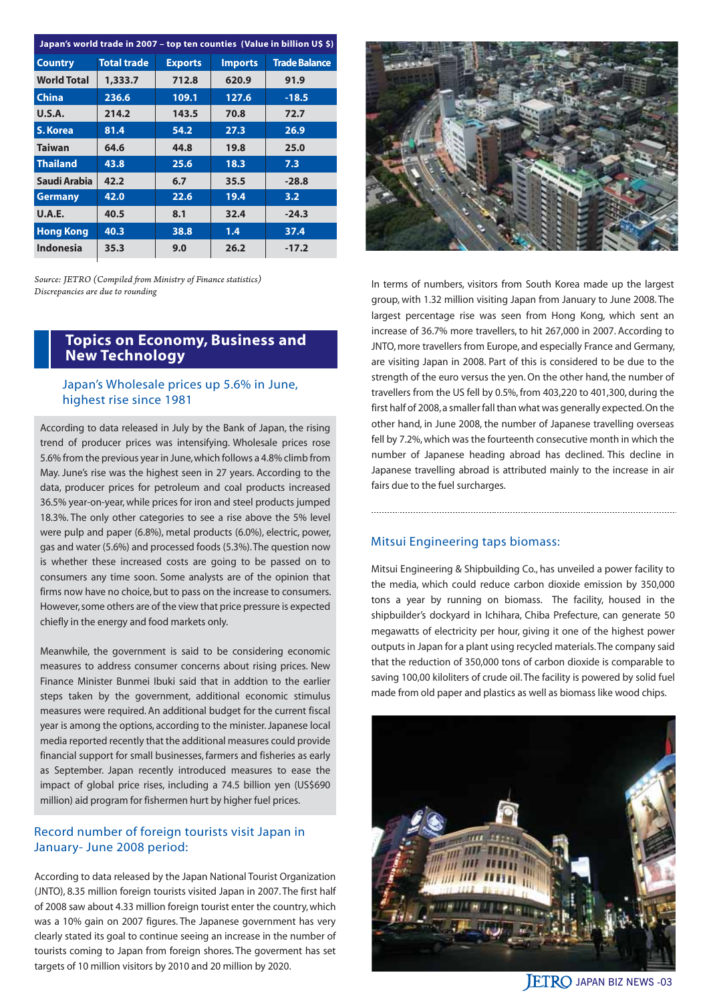| Japan's world trade in 2007 – top ten counties (Value in billion U\$ \$) |                    |                |                |                      |  |  |
|--------------------------------------------------------------------------|--------------------|----------------|----------------|----------------------|--|--|
| <b>Country</b>                                                           | <b>Total trade</b> | <b>Exports</b> | <b>Imports</b> | <b>Trade Balance</b> |  |  |
| <b>World Total</b>                                                       | 1,333.7            | 712.8          | 620.9          | 91.9                 |  |  |
| <b>China</b>                                                             | 236.6              | 109.1          | 127.6          | $-18.5$              |  |  |
| <b>U.S.A.</b>                                                            | 214.2              | 143.5          | 70.8           | 72.7                 |  |  |
| S. Korea                                                                 | 81.4               | 54.2           | 27.3           | 26.9                 |  |  |
| <b>Taiwan</b>                                                            | 64.6               | 44.8           | 19.8           | 25.0                 |  |  |
| <b>Thailand</b>                                                          | 43.8               | 25.6           | 18.3           | 7.3                  |  |  |
| Saudi Arabia                                                             | 42.2               | 6.7            | 35.5           | $-28.8$              |  |  |
| <b>Germany</b>                                                           | 42.0               | 22.6           | 19.4           | 3.2                  |  |  |
| <b>U.A.E.</b>                                                            | 40.5               | 8.1            | 32.4           | $-24.3$              |  |  |
| <b>Hong Kong</b>                                                         | 40.3               | 38.8           | 1.4            | 37.4                 |  |  |
| <b>Indonesia</b>                                                         | 35.3               | 9.0            | 26.2           | $-17.2$              |  |  |

*Source: JETRO (Compiled from Ministry of Finance statistics) Discrepancies are due to rounding*

#### **Topics on Economy, Business and New Technology**

#### Japan's Wholesale prices up 5.6% in June, highest rise since 1981

According to data released in July by the Bank of Japan, the rising trend of producer prices was intensifying. Wholesale prices rose 5.6% from the previous year in June, which follows a 4.8% climb from May. June's rise was the highest seen in 27 years. According to the data, producer prices for petroleum and coal products increased 36.5% year-on-year, while prices for iron and steel products jumped 18.3%. The only other categories to see a rise above the 5% level were pulp and paper (6.8%), metal products (6.0%), electric, power, gas and water (5.6%) and processed foods (5.3%). The question now is whether these increased costs are going to be passed on to consumers any time soon. Some analysts are of the opinion that firms now have no choice, but to pass on the increase to consumers. However, some others are of the view that price pressure is expected chiefly in the energy and food markets only.

Meanwhile, the government is said to be considering economic measures to address consumer concerns about rising prices. New Finance Minister Bunmei Ibuki said that in addtion to the earlier steps taken by the government, additional economic stimulus measures were required. An additional budget for the current fiscal year is among the options, according to the minister. Japanese local media reported recently that the additional measures could provide financial support for small businesses, farmers and fisheries as early as September. Japan recently introduced measures to ease the impact of global price rises, including a 74.5 billion yen (US\$690 million) aid program for fishermen hurt by higher fuel prices.

#### Record number of foreign tourists visit Japan in January- June 2008 period:

According to data released by the Japan National Tourist Organization (JNTO), 8.35 million foreign tourists visited Japan in 2007. The first half of 2008 saw about 4.33 million foreign tourist enter the country, which was a 10% gain on 2007 figures. The Japanese government has very clearly stated its goal to continue seeing an increase in the number of tourists coming to Japan from foreign shores. The goverment has set targets of 10 million visitors by 2010 and 20 million by 2020.



In terms of numbers, visitors from South Korea made up the largest group, with 1.32 million visiting Japan from January to June 2008. The largest percentage rise was seen from Hong Kong, which sent an increase of 36.7% more travellers, to hit 267,000 in 2007. According to JNTO, more travellers from Europe, and especially France and Germany, are visiting Japan in 2008. Part of this is considered to be due to the strength of the euro versus the yen. On the other hand, the number of travellers from the US fell by 0.5%, from 403,220 to 401,300, during the first half of 2008, a smaller fall than what was generally expected. On the other hand, in June 2008, the number of Japanese travelling overseas fell by 7.2%, which was the fourteenth consecutive month in which the number of Japanese heading abroad has declined. This decline in Japanese travelling abroad is attributed mainly to the increase in air fairs due to the fuel surcharges.

#### Mitsui Engineering taps biomass:

Mitsui Engineering & Shipbuilding Co., has unveiled a power facility to the media, which could reduce carbon dioxide emission by 350,000 tons a year by running on biomass. The facility, housed in the shipbuilder's dockyard in Ichihara, Chiba Prefecture, can generate 50 megawatts of electricity per hour, giving it one of the highest power outputs in Japan for a plant using recycled materials. The company said that the reduction of 350,000 tons of carbon dioxide is comparable to saving 100,00 kiloliters of crude oil. The facility is powered by solid fuel made from old paper and plastics as well as biomass like wood chips.



**JETRO JAPAN BIZ NEWS -03**